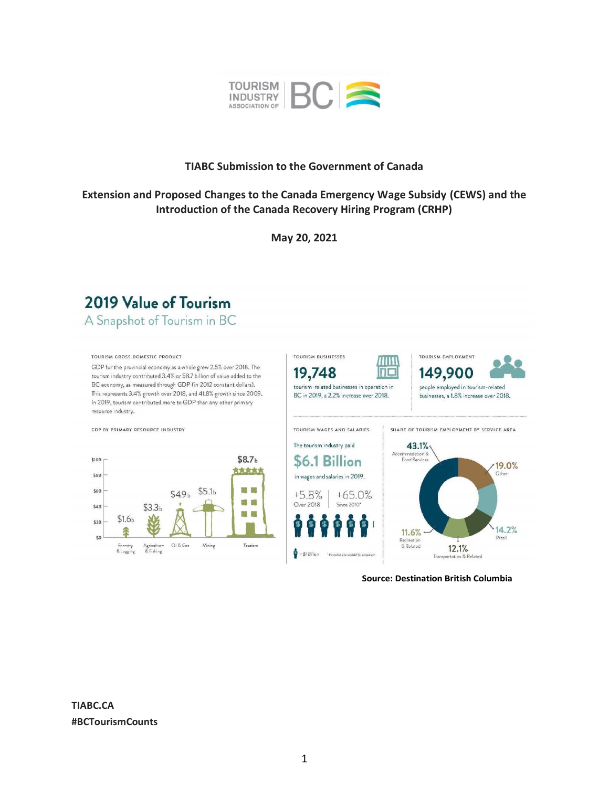

## **TIABC Submission to the Government of Canada**

# **Extension and Proposed Changes to the Canada Emergency Wage Subsidy (CEWS) and the Introduction of the Canada Recovery Hiring Program (CRHP)**

**May 20, 2021**



88

Tourism



**Source: Destination British Columbia**

**TIABC.CA #BCTourismCounts**

 $$1.6<sub>b</sub>$ 

Forestry<br>& Logging

Agriculture<br>& Fishing

Oil & Gas

 $\mathit{Mining}$ 

\$2B

 $50$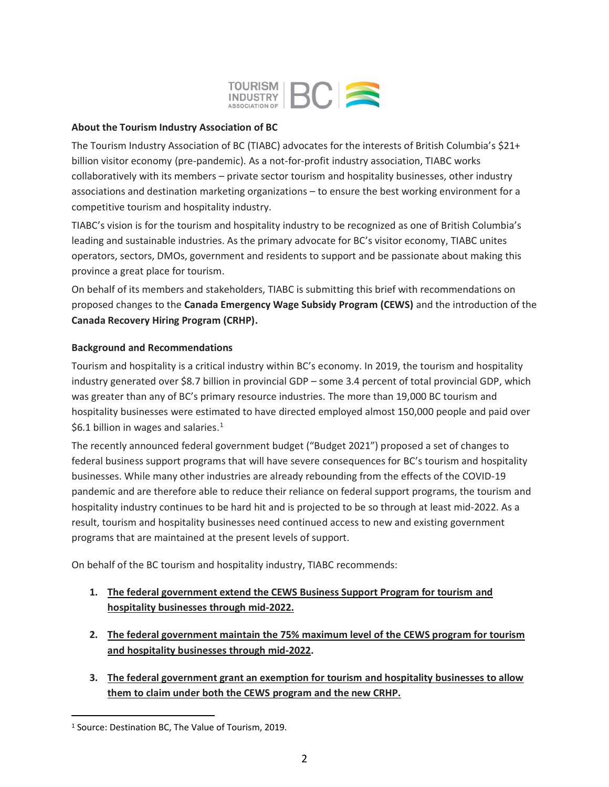

#### **About the Tourism Industry Association of BC**

The Tourism Industry Association of BC (TIABC) advocates for the interests of British Columbia's \$21+ billion visitor economy (pre-pandemic). As a not-for-profit industry association, TIABC works collaboratively with its members – private sector tourism and hospitality businesses, other industry associations and destination marketing organizations – to ensure the best working environment for a competitive tourism and hospitality industry.

TIABC's vision is for the tourism and hospitality industry to be recognized as one of British Columbia's leading and sustainable industries. As the primary advocate for BC's visitor economy, TIABC unites operators, sectors, DMOs, government and residents to support and be passionate about making this province a great place for tourism.

On behalf of its members and stakeholders, TIABC is submitting this brief with recommendations on proposed changes to the **Canada Emergency Wage Subsidy Program (CEWS)** and the introduction of the **Canada Recovery Hiring Program (CRHP).**

### **Background and Recommendations**

Tourism and hospitality is a critical industry within BC's economy. In 2019, the tourism and hospitality industry generated over \$8.7 billion in provincial GDP – some 3.4 percent of total provincial GDP, which was greater than any of BC's primary resource industries. The more than 19,000 BC tourism and hospitality businesses were estimated to have directed employed almost 150,000 people and paid over \$6.1 billion in wages and salaries. $1$ 

The recently announced federal government budget ("Budget 2021") proposed a set of changes to federal business support programs that will have severe consequences for BC's tourism and hospitality businesses. While many other industries are already rebounding from the effects of the COVID-19 pandemic and are therefore able to reduce their reliance on federal support programs, the tourism and hospitality industry continues to be hard hit and is projected to be so through at least mid-2022. As a result, tourism and hospitality businesses need continued access to new and existing government programs that are maintained at the present levels of support.

On behalf of the BC tourism and hospitality industry, TIABC recommends:

- **1. The federal government extend the CEWS Business Support Program for tourism and hospitality businesses through mid-2022.**
- **2. The federal government maintain the 75% maximum level of the CEWS program for tourism and hospitality businesses through mid-2022.**
- **3. The federal government grant an exemption for tourism and hospitality businesses to allow them to claim under both the CEWS program and the new CRHP.**

<sup>1</sup> Source: Destination BC, The Value of Tourism, 2019.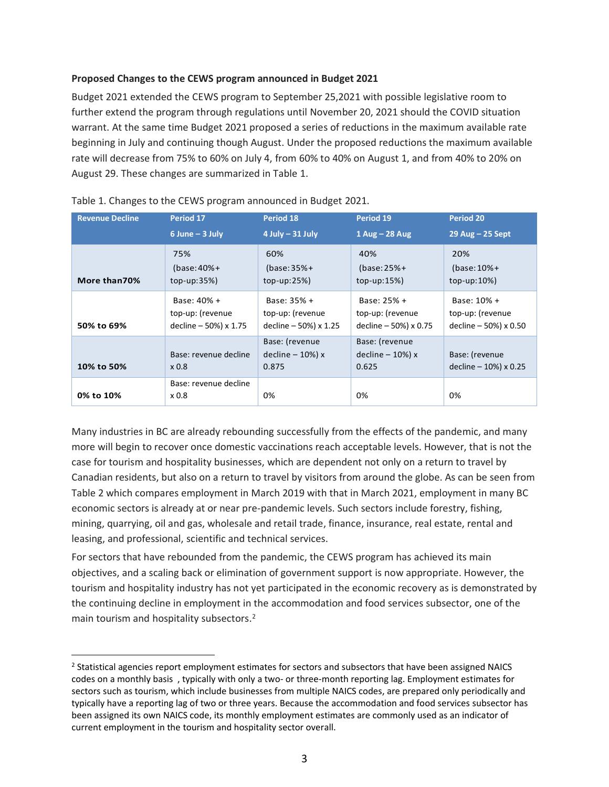### **Proposed Changes to the CEWS program announced in Budget 2021**

Budget 2021 extended the CEWS program to September 25,2021 with possible legislative room to further extend the program through regulations until November 20, 2021 should the COVID situation warrant. At the same time Budget 2021 proposed a series of reductions in the maximum available rate beginning in July and continuing though August. Under the proposed reductions the maximum available rate will decrease from 75% to 60% on July 4, from 60% to 40% on August 1, and from 40% to 20% on August 29. These changes are summarized in Table 1.

| <b>Revenue Decline</b> | Period 17                                 | Period 18                                      | Period 19                                      | Period 20                                 |
|------------------------|-------------------------------------------|------------------------------------------------|------------------------------------------------|-------------------------------------------|
|                        | $6$ June $-$ 3 July                       | $4$ July $-31$ July                            | $1$ Aug - 28 Aug                               | $29$ Aug $- 25$ Sept                      |
| More than 70%          | 75%                                       | 60%                                            | 40%                                            | 20%                                       |
|                        | $(hase: 40% +$                            | $(base:35% +$                                  | $(base: 25% +$                                 | $(base: 10% +$                            |
|                        | $top-up:35\%)$                            | $top-up:25\%)$                                 | $top-up:15\%)$                                 | $top-up:10\%)$                            |
| 50% to 69%             | Base: 40% +                               | Base: 35% +                                    | Base: 25% +                                    | Base: 10% +                               |
|                        | top-up: (revenue                          | top-up: (revenue                               | top-up: (revenue                               | top-up: (revenue                          |
|                        | decline - 50%) x 1.75                     | decline - 50%) x 1.25                          | decline $-50%$ ) x 0.75                        | decline - 50%) x 0.50                     |
| 10% to 50%             | Base: revenue decline<br>x <sub>0.8</sub> | Base: (revenue<br>$decline - 10%$ ) x<br>0.875 | Base: (revenue<br>$decline - 10%$ ) x<br>0.625 | Base: (revenue<br>decline $-10%$ ) x 0.25 |
| 0% to 10%              | Base: revenue decline<br>x 0.8            | 0%                                             | 0%                                             | 0%                                        |

| Table 1. Changes to the CEWS program announced in Budget 2021. |  |  |
|----------------------------------------------------------------|--|--|
|----------------------------------------------------------------|--|--|

Many industries in BC are already rebounding successfully from the effects of the pandemic, and many more will begin to recover once domestic vaccinations reach acceptable levels. However, that is not the case for tourism and hospitality businesses, which are dependent not only on a return to travel by Canadian residents, but also on a return to travel by visitors from around the globe. As can be seen from Table 2 which compares employment in March 2019 with that in March 2021, employment in many BC economic sectors is already at or near pre-pandemic levels. Such sectors include forestry, fishing, mining, quarrying, oil and gas, wholesale and retail trade, finance, insurance, real estate, rental and leasing, and professional, scientific and technical services.

For sectors that have rebounded from the pandemic, the CEWS program has achieved its main objectives, and a scaling back or elimination of government support is now appropriate. However, the tourism and hospitality industry has not yet participated in the economic recovery as is demonstrated by the continuing decline in employment in the accommodation and food services subsector, one of the main tourism and hospitality subsectors.<sup>2</sup>

<sup>&</sup>lt;sup>2</sup> Statistical agencies report employment estimates for sectors and subsectors that have been assigned NAICS codes on a monthly basis , typically with only a two- or three-month reporting lag. Employment estimates for sectors such as tourism, which include businesses from multiple NAICS codes, are prepared only periodically and typically have a reporting lag of two or three years. Because the accommodation and food services subsector has been assigned its own NAICS code, its monthly employment estimates are commonly used as an indicator of current employment in the tourism and hospitality sector overall.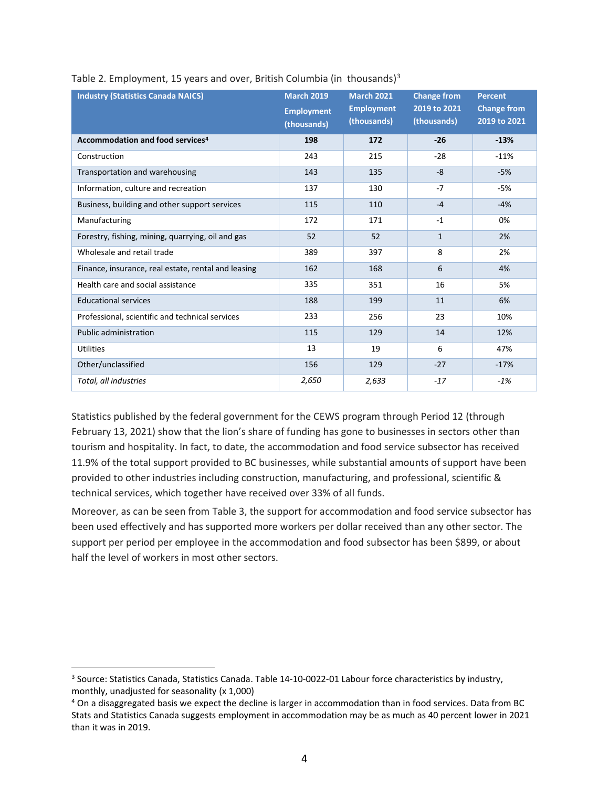| <b>Industry (Statistics Canada NAICS)</b>           | <b>March 2019</b>                | <b>March 2021</b>                | <b>Change from</b>          | <b>Percent</b>                     |
|-----------------------------------------------------|----------------------------------|----------------------------------|-----------------------------|------------------------------------|
|                                                     | <b>Employment</b><br>(thousands) | <b>Employment</b><br>(thousands) | 2019 to 2021<br>(thousands) | <b>Change from</b><br>2019 to 2021 |
| Accommodation and food services <sup>4</sup>        | 198                              | 172                              | $-26$                       | $-13%$                             |
| Construction                                        | 243                              | 215                              | $-28$                       | $-11%$                             |
| Transportation and warehousing                      | 143                              | 135                              | $-8$                        | $-5%$                              |
| Information, culture and recreation                 | 137                              | 130                              | $-7$                        | -5%                                |
| Business, building and other support services       | 115                              | 110                              | $-4$                        | $-4%$                              |
| Manufacturing                                       | 172                              | 171                              | $-1$                        | 0%                                 |
| Forestry, fishing, mining, quarrying, oil and gas   | 52                               | 52                               | $\mathbf{1}$                | 2%                                 |
| Wholesale and retail trade                          | 389                              | 397                              | 8                           | 2%                                 |
| Finance, insurance, real estate, rental and leasing | 162                              | 168                              | 6                           | 4%                                 |
| Health care and social assistance                   | 335                              | 351                              | 16                          | 5%                                 |
| <b>Educational services</b>                         | 188                              | 199                              | 11                          | 6%                                 |
| Professional, scientific and technical services     | 233                              | 256                              | 23                          | 10%                                |
| <b>Public administration</b>                        | 115                              | 129                              | 14                          | 12%                                |
| <b>Utilities</b>                                    | 13                               | 19                               | 6                           | 47%                                |
| Other/unclassified                                  | 156                              | 129                              | $-27$                       | $-17%$                             |
| Total, all industries                               | 2,650                            | 2,633                            | $-17$                       | $-1%$                              |

## Table 2. Employment, 15 years and over, British Columbia (in thousands)<sup>3</sup>

Statistics published by the federal government for the CEWS program through Period 12 (through February 13, 2021) show that the lion's share of funding has gone to businesses in sectors other than tourism and hospitality. In fact, to date, the accommodation and food service subsector has received 11.9% of the total support provided to BC businesses, while substantial amounts of support have been provided to other industries including construction, manufacturing, and professional, scientific & technical services, which together have received over 33% of all funds.

Moreover, as can be seen from Table 3, the support for accommodation and food service subsector has been used effectively and has supported more workers per dollar received than any other sector. The support per period per employee in the accommodation and food subsector has been \$899, or about half the level of workers in most other sectors.

<sup>3</sup> Source: Statistics Canada, Statistics Canada. Table 14-10-0022-01 Labour force characteristics by industry, monthly, unadjusted for seasonality (x 1,000)

<sup>4</sup> On a disaggregated basis we expect the decline is larger in accommodation than in food services. Data from BC Stats and Statistics Canada suggests employment in accommodation may be as much as 40 percent lower in 2021 than it was in 2019.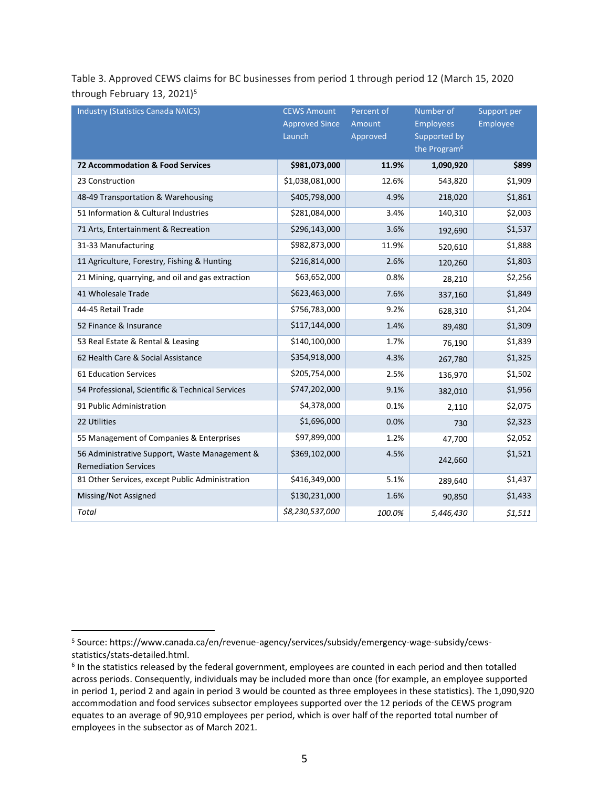Table 3. Approved CEWS claims for BC businesses from period 1 through period 12 (March 15, 2020 through February 13, 2021)<sup>5</sup>

| <b>Industry (Statistics Canada NAICS)</b>                                    | <b>CEWS Amount</b><br><b>Approved Since</b><br>Launch | Percent of<br>Amount<br>Approved | Number of<br><b>Employees</b><br>Supported by<br>the Program <sup>6</sup> | Support per<br>Employee |
|------------------------------------------------------------------------------|-------------------------------------------------------|----------------------------------|---------------------------------------------------------------------------|-------------------------|
| 72 Accommodation & Food Services                                             | \$981,073,000                                         | 11.9%                            | 1,090,920                                                                 | \$899                   |
| 23 Construction                                                              | \$1,038,081,000                                       | 12.6%                            | 543,820                                                                   | \$1,909                 |
| 48-49 Transportation & Warehousing                                           | \$405,798,000                                         | 4.9%                             | 218,020                                                                   | \$1,861                 |
| 51 Information & Cultural Industries                                         | \$281,084,000                                         | 3.4%                             | 140,310                                                                   | \$2,003                 |
| 71 Arts, Entertainment & Recreation                                          | \$296,143,000                                         | 3.6%                             | 192,690                                                                   | \$1,537                 |
| 31-33 Manufacturing                                                          | \$982,873,000                                         | 11.9%                            | 520,610                                                                   | \$1,888                 |
| 11 Agriculture, Forestry, Fishing & Hunting                                  | \$216,814,000                                         | 2.6%                             | 120,260                                                                   | \$1,803                 |
| 21 Mining, quarrying, and oil and gas extraction                             | \$63,652,000                                          | 0.8%                             | 28,210                                                                    | \$2,256                 |
| 41 Wholesale Trade                                                           | \$623,463,000                                         | 7.6%                             | 337,160                                                                   | \$1,849                 |
| 44-45 Retail Trade                                                           | \$756,783,000                                         | 9.2%                             | 628,310                                                                   | \$1,204                 |
| 52 Finance & Insurance                                                       | \$117,144,000                                         | 1.4%                             | 89,480                                                                    | \$1,309                 |
| 53 Real Estate & Rental & Leasing                                            | \$140,100,000                                         | 1.7%                             | 76,190                                                                    | \$1,839                 |
| 62 Health Care & Social Assistance                                           | \$354,918,000                                         | 4.3%                             | 267,780                                                                   | \$1,325                 |
| <b>61 Education Services</b>                                                 | \$205,754,000                                         | 2.5%                             | 136,970                                                                   | \$1,502                 |
| 54 Professional, Scientific & Technical Services                             | \$747,202,000                                         | 9.1%                             | 382,010                                                                   | \$1,956                 |
| 91 Public Administration                                                     | \$4,378,000                                           | 0.1%                             | 2,110                                                                     | \$2,075                 |
| 22 Utilities                                                                 | \$1,696,000                                           | 0.0%                             | 730                                                                       | \$2,323                 |
| 55 Management of Companies & Enterprises                                     | \$97,899,000                                          | 1.2%                             | 47,700                                                                    | \$2,052                 |
| 56 Administrative Support, Waste Management &<br><b>Remediation Services</b> | \$369,102,000                                         | 4.5%                             | 242,660                                                                   | \$1,521                 |
| 81 Other Services, except Public Administration                              | \$416,349,000                                         | 5.1%                             | 289,640                                                                   | \$1,437                 |
| Missing/Not Assigned                                                         | \$130,231,000                                         | 1.6%                             | 90,850                                                                    | \$1,433                 |
| Total                                                                        | \$8,230,537,000                                       | 100.0%                           | 5,446,430                                                                 | \$1,511                 |

<sup>5</sup> Source: https://www.canada.ca/en/revenue-agency/services/subsidy/emergency-wage-subsidy/cewsstatistics/stats-detailed.html.

<sup>&</sup>lt;sup>6</sup> In the statistics released by the federal government, employees are counted in each period and then totalled across periods. Consequently, individuals may be included more than once (for example, an employee supported in period 1, period 2 and again in period 3 would be counted as three employees in these statistics). The 1,090,920 accommodation and food services subsector employees supported over the 12 periods of the CEWS program equates to an average of 90,910 employees per period, which is over half of the reported total number of employees in the subsector as of March 2021.